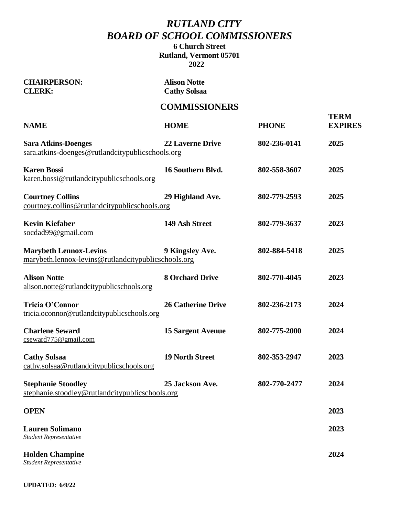## *RUTLAND CITY BOARD OF SCHOOL COMMISSIONERS*

### **6 Church Street Rutland, Vermont 05701 2022**

| <b>CHAIRPERSON:</b><br><b>CLERK:</b>                                                 | <b>Alison Notte</b><br><b>Cathy Solsaa</b> |              |                               |
|--------------------------------------------------------------------------------------|--------------------------------------------|--------------|-------------------------------|
|                                                                                      | <b>COMMISSIONERS</b>                       |              |                               |
| <b>NAME</b>                                                                          | <b>HOME</b>                                | <b>PHONE</b> | <b>TERM</b><br><b>EXPIRES</b> |
| <b>Sara Atkins-Doenges</b><br>sara.atkins-doenges@rutlandcitypublicschools.org       | <b>22 Laverne Drive</b>                    | 802-236-0141 | 2025                          |
| <b>Karen Bossi</b><br>karen.bossi@rutlandcitypublicschools.org                       | 16 Southern Blvd.                          | 802-558-3607 | 2025                          |
| <b>Courtney Collins</b><br>courtney.collins@rutlandcitypublicschools.org             | 29 Highland Ave.                           | 802-779-2593 | 2025                          |
| <b>Kevin Kiefaber</b><br>socdad99@gmail.com                                          | 149 Ash Street                             | 802-779-3637 | 2023                          |
| <b>Marybeth Lennox-Levins</b><br>marybeth.lennox-levins@rutlandcitypublicschools.org | 9 Kingsley Ave.                            | 802-884-5418 | 2025                          |
| <b>Alison Notte</b><br>alison.notte@rutlandcitypublicschools.org                     | <b>8 Orchard Drive</b>                     | 802-770-4045 | 2023                          |
| Tricia O'Connor<br>tricia.oconnor@rutlandcitypublicschools.org                       | <b>26 Catherine Drive</b>                  | 802-236-2173 | 2024                          |
| <b>Charlene Seward</b><br>$c$ seward775@gmail.com                                    | <b>15 Sargent Avenue</b>                   | 802-775-2000 | 2024                          |
| <b>Cathy Solsaa</b><br>cathy.solsaa@rutlandcitypublicschools.org                     | <b>19 North Street</b>                     | 802-353-2947 | 2023                          |
| <b>Stephanie Stoodley</b><br>stephanie.stoodley@rutlandcitypublicschools.org         | 25 Jackson Ave.                            | 802-770-2477 | 2024                          |
| <b>OPEN</b>                                                                          |                                            |              | 2023                          |
| <b>Lauren Solimano</b><br>Student Representative                                     |                                            |              | 2023                          |
| <b>Holden Champine</b><br>Student Representative                                     |                                            |              | 2024                          |